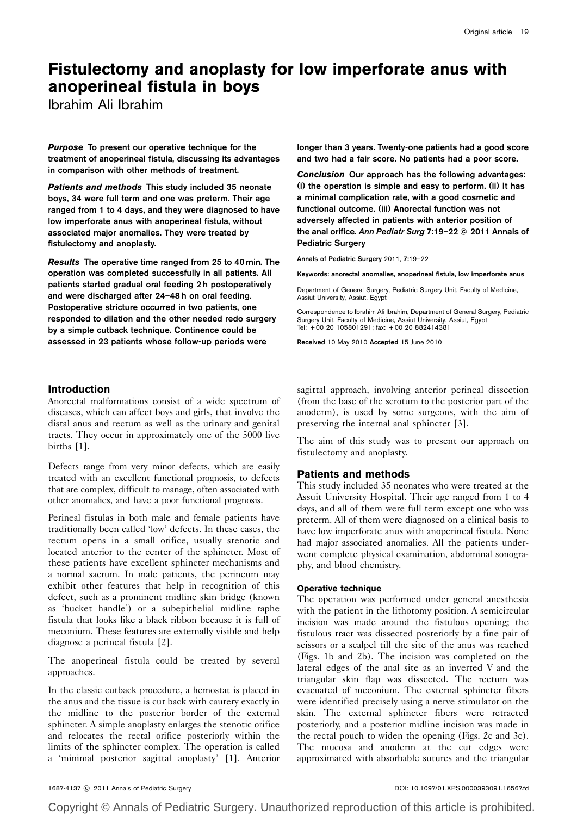# Fistulectomy and anoplasty for low imperforate anus with anoperineal fistula in boys

Ibrahim Ali Ibrahim

Purpose To present our operative technique for the treatment of anoperineal fistula, discussing its advantages in comparison with other methods of treatment.

Patients and methods This study included 35 neonate boys, 34 were full term and one was preterm. Their age ranged from 1 to 4 days, and they were diagnosed to have low imperforate anus with anoperineal fistula, without associated major anomalies. They were treated by fistulectomy and anoplasty.

Results The operative time ranged from 25 to 40 min. The operation was completed successfully in all patients. All patients started gradual oral feeding 2 h postoperatively and were discharged after 24–48 h on oral feeding. Postoperative stricture occurred in two patients, one responded to dilation and the other needed redo surgery by a simple cutback technique. Continence could be assessed in 23 patients whose follow-up periods were

longer than 3 years. Twenty-one patients had a good score and two had a fair score. No patients had a poor score.

Conclusion Our approach has the following advantages: (i) the operation is simple and easy to perform. (ii) It has a minimal complication rate, with a good cosmetic and functional outcome. (iii) Anorectal function was not adversely affected in patients with anterior position of the anal orifice. Ann Pediatr Surg 7:19-22 © 2011 Annals of Pediatric Surgery

Annals of Pediatric Surgery 2011, 7:19–22

Keywords: anorectal anomalies, anoperineal fistula, low imperforate anus

Department of General Surgery, Pediatric Surgery Unit, Faculty of Medicine, Assiut University, Assiut, Egypt

Correspondence to Ibrahim Ali Ibrahim, Department of General Surgery, Pediatric Surgery Unit, Faculty of Medicine, Assiut University, Assiut, Egypt Tel: + 00 20 105801291; fax: + 00 20 882414381

Received 10 May 2010 Accepted 15 June 2010

# **Introduction**

Anorectal malformations consist of a wide spectrum of diseases, which can affect boys and girls, that involve the distal anus and rectum as well as the urinary and genital tracts. They occur in approximately one of the 5000 live births [1].

Defects range from very minor defects, which are easily treated with an excellent functional prognosis, to defects that are complex, difficult to manage, often associated with other anomalies, and have a poor functional prognosis.

Perineal fistulas in both male and female patients have traditionally been called 'low' defects. In these cases, the rectum opens in a small orifice, usually stenotic and located anterior to the center of the sphincter. Most of these patients have excellent sphincter mechanisms and a normal sacrum. In male patients, the perineum may exhibit other features that help in recognition of this defect, such as a prominent midline skin bridge (known as 'bucket handle') or a subepithelial midline raphe fistula that looks like a black ribbon because it is full of meconium. These features are externally visible and help diagnose a perineal fistula [2].

The anoperineal fistula could be treated by several approaches.

In the classic cutback procedure, a hemostat is placed in the anus and the tissue is cut back with cautery exactly in the midline to the posterior border of the external sphincter. A simple anoplasty enlarges the stenotic orifice and relocates the rectal orifice posteriorly within the limits of the sphincter complex. The operation is called a 'minimal posterior sagittal anoplasty' [1]. Anterior sagittal approach, involving anterior perineal dissection (from the base of the scrotum to the posterior part of the anoderm), is used by some surgeons, with the aim of preserving the internal anal sphincter [3].

The aim of this study was to present our approach on fistulectomy and anoplasty.

# Patients and methods

This study included 35 neonates who were treated at the Assuit University Hospital. Their age ranged from 1 to 4 days, and all of them were full term except one who was preterm. All of them were diagnosed on a clinical basis to have low imperforate anus with anoperineal fistula. None had major associated anomalies. All the patients underwent complete physical examination, abdominal sonography, and blood chemistry.

# Operative technique

The operation was performed under general anesthesia with the patient in the lithotomy position. A semicircular incision was made around the fistulous opening; the fistulous tract was dissected posteriorly by a fine pair of scissors or a scalpel till the site of the anus was reached (Figs. 1b and 2b). The incision was completed on the lateral edges of the anal site as an inverted V and the triangular skin flap was dissected. The rectum was evacuated of meconium. The external sphincter fibers were identified precisely using a nerve stimulator on the skin. The external sphincter fibers were retracted posteriorly, and a posterior midline incision was made in the rectal pouch to widen the opening (Figs. 2c and 3c). The mucosa and anoderm at the cut edges were approximated with absorbable sutures and the triangular

Copyright © Annals of Pediatric Surgery. Unauthorized reproduction of this article is prohibited.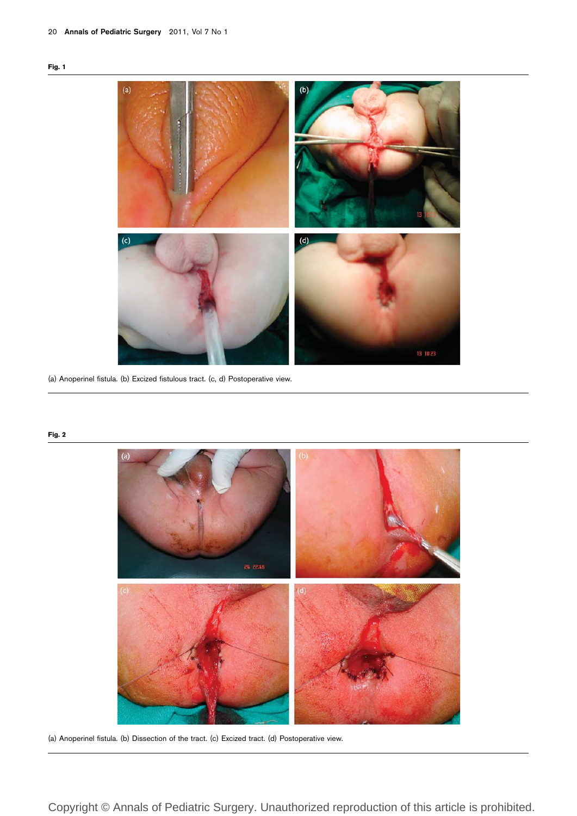



(a) Anoperinel fistula. (b) Excized fistulous tract. (c, d) Postoperative view.

#### Fig. 2



(a) Anoperinel fistula. (b) Dissection of the tract. (c) Excized tract. (d) Postoperative view.

Copyright © Annals of Pediatric Surgery. Unauthorized reproduction of this article is prohibited.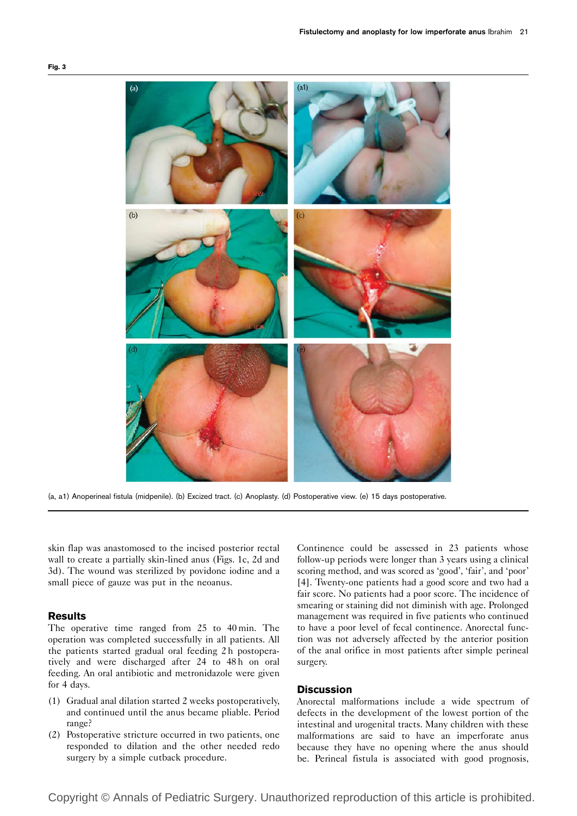

(a, a1) Anoperineal fistula (midpenile). (b) Excized tract. (c) Anoplasty. (d) Postoperative view. (e) 15 days postoperative.

skin flap was anastomosed to the incised posterior rectal wall to create a partially skin-lined anus (Figs. 1c, 2d and 3d). The wound was sterilized by povidone iodine and a small piece of gauze was put in the neoanus.

# **Results**

The operative time ranged from 25 to 40 min. The operation was completed successfully in all patients. All the patients started gradual oral feeding 2 h postoperatively and were discharged after 24 to 48h on oral feeding. An oral antibiotic and metronidazole were given for 4 days.

- (1) Gradual anal dilation started 2 weeks postoperatively, and continued until the anus became pliable. Period range?
- (2) Postoperative stricture occurred in two patients, one responded to dilation and the other needed redo surgery by a simple cutback procedure.

Continence could be assessed in 23 patients whose follow-up periods were longer than 3 years using a clinical scoring method, and was scored as 'good', 'fair', and 'poor' [4]. Twenty-one patients had a good score and two had a fair score. No patients had a poor score. The incidence of smearing or staining did not diminish with age. Prolonged management was required in five patients who continued to have a poor level of fecal continence. Anorectal function was not adversely affected by the anterior position of the anal orifice in most patients after simple perineal surgery.

# **Discussion**

Anorectal malformations include a wide spectrum of defects in the development of the lowest portion of the intestinal and urogenital tracts. Many children with these malformations are said to have an imperforate anus because they have no opening where the anus should be. Perineal fistula is associated with good prognosis,

Copyright © Annals of Pediatric Surgery. Unauthorized reproduction of this article is prohibited.